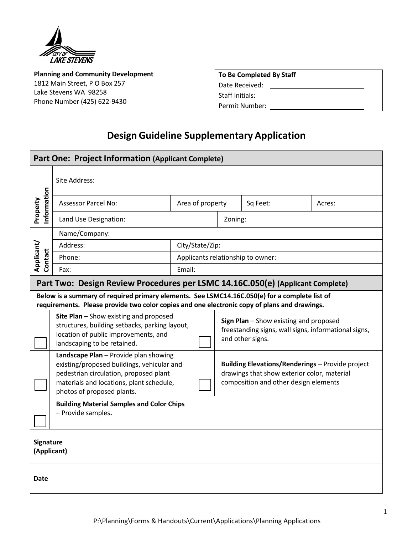

**Planning and Community Development** 1812 Main Street, P O Box 257 Lake Stevens WA 98258 Phone Number (425) 622‐9430

|  | To Be Completed By Staff |  |  |
|--|--------------------------|--|--|
|  |                          |  |  |

Date Received:

Staff Initials:

Permit Number:

## **Design Guideline Supplementary Application**

| <b>Part One: Project Information (Applicant Complete)</b>                                                                                                                                     |                                                                                                                                                                                                         |  |                                   |                                                                                                                                                 |          |        |
|-----------------------------------------------------------------------------------------------------------------------------------------------------------------------------------------------|---------------------------------------------------------------------------------------------------------------------------------------------------------------------------------------------------------|--|-----------------------------------|-------------------------------------------------------------------------------------------------------------------------------------------------|----------|--------|
|                                                                                                                                                                                               | Site Address:                                                                                                                                                                                           |  |                                   |                                                                                                                                                 |          |        |
| nformation<br>Property                                                                                                                                                                        | <b>Assessor Parcel No:</b><br>Area of property                                                                                                                                                          |  |                                   |                                                                                                                                                 | Sq Feet: | Acres: |
| Land Use Designation:                                                                                                                                                                         |                                                                                                                                                                                                         |  | Zoning:                           |                                                                                                                                                 |          |        |
|                                                                                                                                                                                               | Name/Company:                                                                                                                                                                                           |  |                                   |                                                                                                                                                 |          |        |
|                                                                                                                                                                                               | Address:                                                                                                                                                                                                |  | City/State/Zip:                   |                                                                                                                                                 |          |        |
| Applicant/<br>Contact                                                                                                                                                                         | Phone:                                                                                                                                                                                                  |  | Applicants relationship to owner: |                                                                                                                                                 |          |        |
|                                                                                                                                                                                               | Email:<br>Fax:                                                                                                                                                                                          |  |                                   |                                                                                                                                                 |          |        |
|                                                                                                                                                                                               | Part Two: Design Review Procedures per LSMC 14.16C.050(e) (Applicant Complete)                                                                                                                          |  |                                   |                                                                                                                                                 |          |        |
| Below is a summary of required primary elements. See LSMC14.16C.050(e) for a complete list of<br>requirements. Please provide two color copies and one electronic copy of plans and drawings. |                                                                                                                                                                                                         |  |                                   |                                                                                                                                                 |          |        |
|                                                                                                                                                                                               | Site Plan - Show existing and proposed<br>structures, building setbacks, parking layout,<br>location of public improvements, and<br>landscaping to be retained.                                         |  |                                   | Sign Plan - Show existing and proposed<br>freestanding signs, wall signs, informational signs,<br>and other signs.                              |          |        |
|                                                                                                                                                                                               | Landscape Plan - Provide plan showing<br>existing/proposed buildings, vehicular and<br>pedestrian circulation, proposed plant<br>materials and locations, plant schedule,<br>photos of proposed plants. |  |                                   | <b>Building Elevations/Renderings - Provide project</b><br>drawings that show exterior color, material<br>composition and other design elements |          |        |
|                                                                                                                                                                                               | <b>Building Material Samples and Color Chips</b><br>- Provide samples.                                                                                                                                  |  |                                   |                                                                                                                                                 |          |        |
| Signature<br>(Applicant)                                                                                                                                                                      |                                                                                                                                                                                                         |  |                                   |                                                                                                                                                 |          |        |
| Date                                                                                                                                                                                          |                                                                                                                                                                                                         |  |                                   |                                                                                                                                                 |          |        |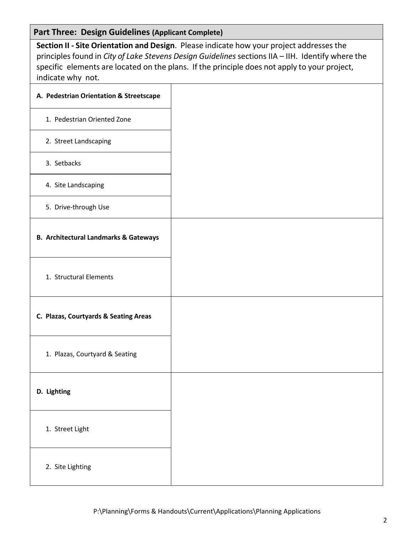## **Part Three: Design Guidelines (Applicant Complete)**

**Section II ‐ Site Orientation and Design**. Please indicate how your project addresses the principles found in *City of Lake Stevens Design Guidelines* sections IIA – IIH. Identify where the specific elements are located on the plans. If the principle does not apply to your project, indicate why not.

| A. Pedestrian Orientation & Streetscape          |  |
|--------------------------------------------------|--|
| 1. Pedestrian Oriented Zone                      |  |
| 2. Street Landscaping                            |  |
| 3. Setbacks                                      |  |
| 4. Site Landscaping                              |  |
| 5. Drive-through Use                             |  |
| <b>B. Architectural Landmarks &amp; Gateways</b> |  |
| 1. Structural Elements                           |  |
| C. Plazas, Courtyards & Seating Areas            |  |
| 1. Plazas, Courtyard & Seating                   |  |
| D. Lighting                                      |  |
| 1. Street Light                                  |  |
| 2. Site Lighting                                 |  |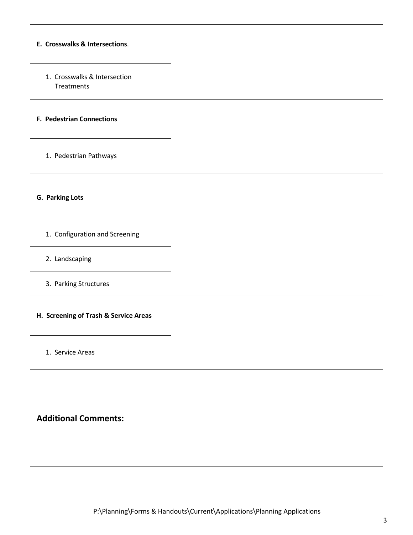| E. Crosswalks & Intersections.             |  |
|--------------------------------------------|--|
| 1. Crosswalks & Intersection<br>Treatments |  |
| <b>F. Pedestrian Connections</b>           |  |
| 1. Pedestrian Pathways                     |  |
| G. Parking Lots                            |  |
| 1. Configuration and Screening             |  |
| 2. Landscaping                             |  |
| 3. Parking Structures                      |  |
| H. Screening of Trash & Service Areas      |  |
| 1. Service Areas                           |  |
| <b>Additional Comments:</b>                |  |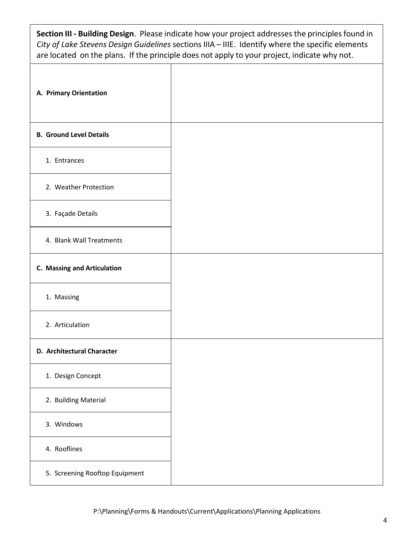**Section III ‐ Building Design**. Please indicate how your project addresses the principles found in *City of Lake Stevens Design Guidelines* sections IIIA – IIIE. Identify where the specific elements are located on the plans. If the principle does not apply to your project, indicate why not.

| A. Primary Orientation         |  |
|--------------------------------|--|
| <b>B. Ground Level Details</b> |  |
| 1. Entrances                   |  |
| 2. Weather Protection          |  |
| 3. Façade Details              |  |
| 4. Blank Wall Treatments       |  |
| C. Massing and Articulation    |  |
| 1. Massing                     |  |
| 2. Articulation                |  |
| D. Architectural Character     |  |
| 1. Design Concept              |  |
| 2. Building Material           |  |
| 3. Windows                     |  |
| 4. Rooflines                   |  |
| 5. Screening Rooftop Equipment |  |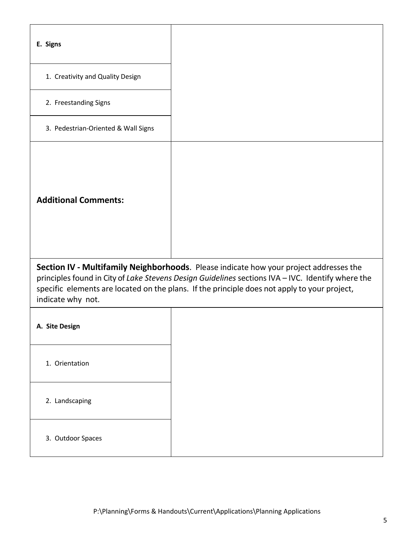| E. Signs                                                                                                                                                                                                                                                                                                         |  |  |  |
|------------------------------------------------------------------------------------------------------------------------------------------------------------------------------------------------------------------------------------------------------------------------------------------------------------------|--|--|--|
| 1. Creativity and Quality Design                                                                                                                                                                                                                                                                                 |  |  |  |
| 2. Freestanding Signs                                                                                                                                                                                                                                                                                            |  |  |  |
| 3. Pedestrian-Oriented & Wall Signs                                                                                                                                                                                                                                                                              |  |  |  |
| <b>Additional Comments:</b>                                                                                                                                                                                                                                                                                      |  |  |  |
| Section IV - Multifamily Neighborhoods. Please indicate how your project addresses the<br>principles found in City of Lake Stevens Design Guidelines sections IVA - IVC. Identify where the<br>specific elements are located on the plans. If the principle does not apply to your project,<br>indicate why not. |  |  |  |
| A. Site Design                                                                                                                                                                                                                                                                                                   |  |  |  |
| 1. Orientation                                                                                                                                                                                                                                                                                                   |  |  |  |
| 2. Landscaping                                                                                                                                                                                                                                                                                                   |  |  |  |
| 3. Outdoor Spaces                                                                                                                                                                                                                                                                                                |  |  |  |